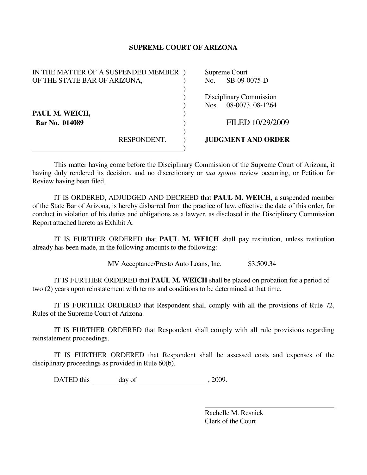## **SUPREME COURT OF ARIZONA**

| IN THE MATTER OF A SUSPENDED MEMBER |             | Supreme Court |                           |
|-------------------------------------|-------------|---------------|---------------------------|
| OF THE STATE BAR OF ARIZONA,        |             | No.           | SB-09-0075-D              |
|                                     |             |               |                           |
|                                     |             |               | Disciplinary Commission   |
|                                     |             | Nos.          | 08-0073, 08-1264          |
| PAUL M. WEICH,                      |             |               |                           |
| Bar No. 014089                      |             |               | FILED 10/29/2009          |
|                                     |             |               |                           |
|                                     | RESPONDENT. |               | <b>JUDGMENT AND ORDER</b> |
|                                     |             |               |                           |

This matter having come before the Disciplinary Commission of the Supreme Court of Arizona, it having duly rendered its decision, and no discretionary or *sua sponte* review occurring, or Petition for Review having been filed,

 IT IS ORDERED, ADJUDGED AND DECREED that **PAUL M. WEICH**, a suspended member of the State Bar of Arizona, is hereby disbarred from the practice of law, effective the date of this order, for conduct in violation of his duties and obligations as a lawyer, as disclosed in the Disciplinary Commission Report attached hereto as Exhibit A.

 IT IS FURTHER ORDERED that **PAUL M. WEICH** shall pay restitution, unless restitution already has been made, in the following amounts to the following:

MV Acceptance/Presto Auto Loans, Inc. \$3,509.34

 IT IS FURTHER ORDERED that **PAUL M. WEICH** shall be placed on probation for a period of two (2) years upon reinstatement with terms and conditions to be determined at that time.

 IT IS FURTHER ORDERED that Respondent shall comply with all the provisions of Rule 72, Rules of the Supreme Court of Arizona.

 IT IS FURTHER ORDERED that Respondent shall comply with all rule provisions regarding reinstatement proceedings.

IT IS FURTHER ORDERED that Respondent shall be assessed costs and expenses of the disciplinary proceedings as provided in Rule 60(b).

DATED this day of , 2009.

 Rachelle M. Resnick Clerk of the Court